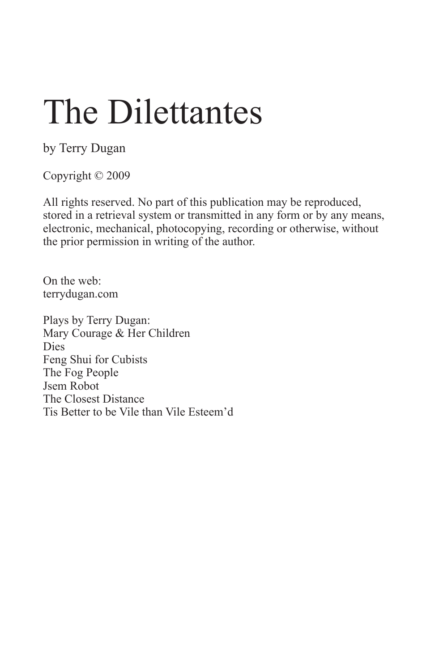by Terry Dugan

Copyright © 2009

All rights reserved. No part of this publication may be reproduced, stored in a retrieval system or transmitted in any form or by any means, electronic, mechanical, photocopying, recording or otherwise, without the prior permission in writing of the author.

On the web: terrydugan.com

Plays by Terry Dugan: Mary Courage & Her Children Dies Feng Shui for Cubists The Fog People Jsem Robot The Closest Distance Tis Better to be Vile than Vile Esteem'd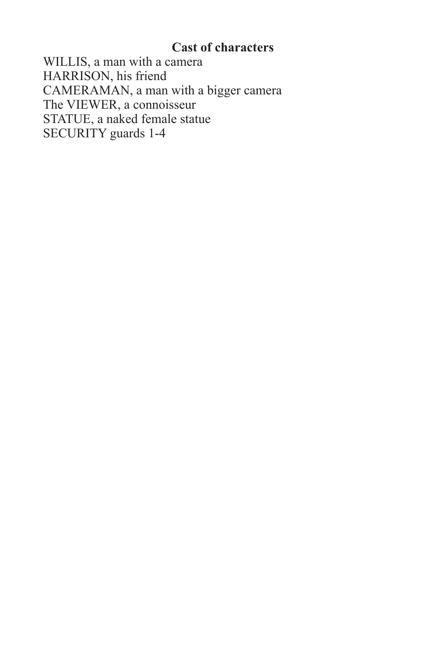### **Cast of characters**

WILLIS, a man with a camera HARRISON, his friend CAMERAMAN, a man with a bigger camera The VIEWER, a connoisseur STATUE, a naked female statue SECURITY guards 1-4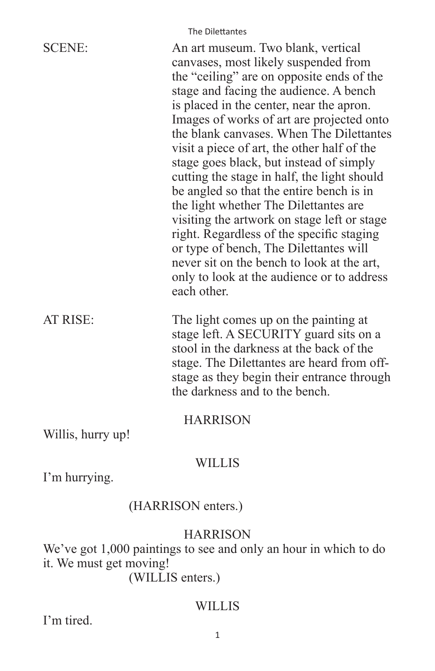|                   | The Dilettantes                                                                                                                                                                                                                                                                                                                                                                                                                                                                                                                                                                                                                                                                                                                                                                       |
|-------------------|---------------------------------------------------------------------------------------------------------------------------------------------------------------------------------------------------------------------------------------------------------------------------------------------------------------------------------------------------------------------------------------------------------------------------------------------------------------------------------------------------------------------------------------------------------------------------------------------------------------------------------------------------------------------------------------------------------------------------------------------------------------------------------------|
| <b>SCENE:</b>     | An art museum. Two blank, vertical<br>canvases, most likely suspended from<br>the "ceiling" are on opposite ends of the<br>stage and facing the audience. A bench<br>is placed in the center, near the apron.<br>Images of works of art are projected onto<br>the blank canvases. When The Dilettantes<br>visit a piece of art, the other half of the<br>stage goes black, but instead of simply<br>cutting the stage in half, the light should<br>be angled so that the entire bench is in<br>the light whether The Dilettantes are<br>visiting the artwork on stage left or stage<br>right. Regardless of the specific staging<br>or type of bench, The Dilettantes will<br>never sit on the bench to look at the art,<br>only to look at the audience or to address<br>each other. |
| AT RISE:          | The light comes up on the painting at<br>stage left. A SECURITY guard sits on a<br>stool in the darkness at the back of the<br>stage. The Dilettantes are heard from off-<br>stage as they begin their entrance through<br>the darkness and to the bench.                                                                                                                                                                                                                                                                                                                                                                                                                                                                                                                             |
| Willis, hurry up! | <b>HARRISON</b>                                                                                                                                                                                                                                                                                                                                                                                                                                                                                                                                                                                                                                                                                                                                                                       |
|                   |                                                                                                                                                                                                                                                                                                                                                                                                                                                                                                                                                                                                                                                                                                                                                                                       |

### WILLIS

I'm hurrying.

# (HARRISON enters.)

### HARRISON

We've got 1,000 paintings to see and only an hour in which to do it. We must get moving!

(WILLIS enters.)

# WILLIS

I'm tired.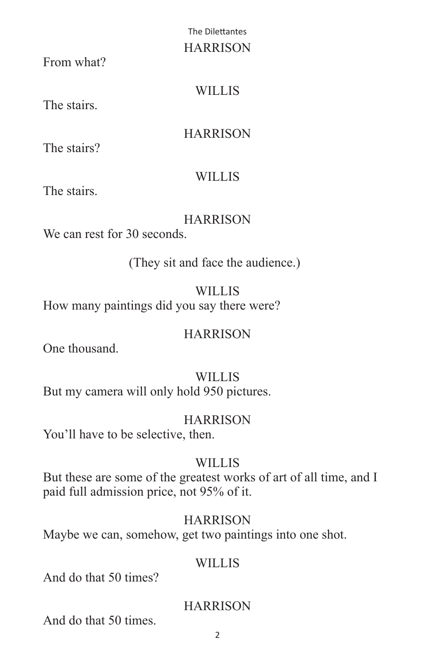### HARRISON

From what?

# **WILLIS**

The stairs.

# **HARRISON**

The stairs?

# **WILLIS**

The stairs.

# **HARRISON**

We can rest for 30 seconds.

(They sit and face the audience.)

# WILLIS

How many paintings did you say there were?

# **HARRISON**

One thousand.

# **WILLIS**

But my camera will only hold 950 pictures.

# HARRISON

You'll have to be selective, then.

# **WILLIS**

But these are some of the greatest works of art of all time, and I paid full admission price, not 95% of it.

# **HARRISON**

Maybe we can, somehow, get two paintings into one shot.

# WILLIS

And do that 50 times?

# **HARRISON**

And do that 50 times.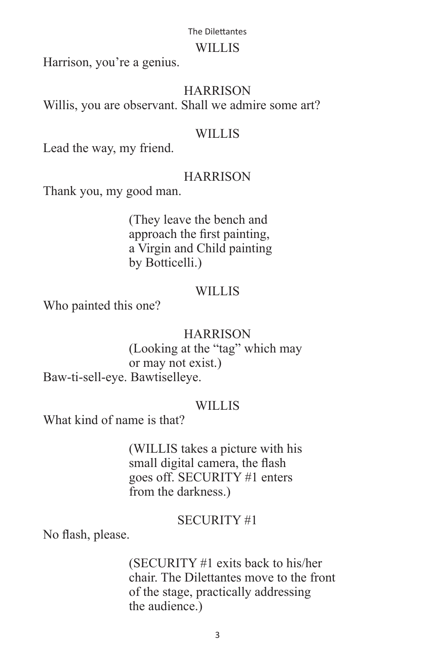#### WILLIS

Harrison, you're a genius.

### **HARRISON**

Willis, you are observant. Shall we admire some art?

### **WILLIS**

Lead the way, my friend.

# **HARRISON**

Thank you, my good man.

 (They leave the bench and approach the first painting, a Virgin and Child painting by Botticelli.)

### WILLIS

Who painted this one?

### **HARRISON**

 (Looking at the "tag" which may or may not exist.) Baw-ti-sell-eye. Bawtiselleye.

### WILLIS<sub></sub>

What kind of name is that?

 (WILLIS takes a picture with his small digital camera, the flash goes off. SECURITY #1 enters from the darkness.)

### SECURITY #1

No flash, please.

 (SECURITY #1 exits back to his/her chair. The Dilettantes move to the front of the stage, practically addressing the audience.)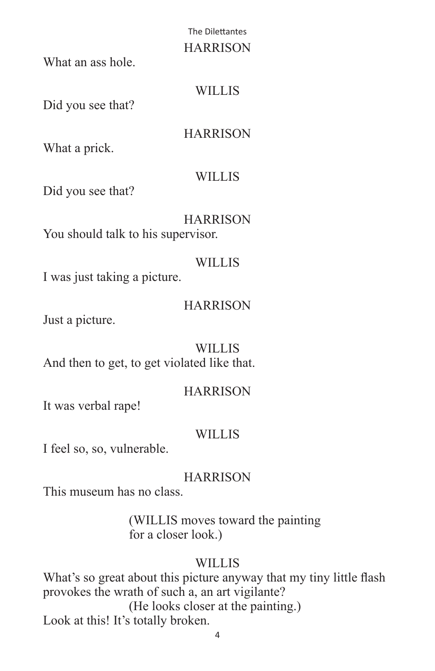### The Dilettantes HARRISON

What an ass hole.

# WILLIS

Did you see that?

**HARRISON** 

What a prick.

# **WILLIS**

Did you see that?

### **HARRISON** You should talk to his supervisor.

# WILLIS<sub></sub>

I was just taking a picture.

# **HARRISON**

Just a picture.

**WILLIS** And then to get, to get violated like that.

# **HARRISON**

It was verbal rape!

# WILLIS

I feel so, so, vulnerable.

# **HARRISON**

This museum has no class.

 (WILLIS moves toward the painting for a closer look.)

# WILLIS

What's so great about this picture anyway that my tiny little flash provokes the wrath of such a, an art vigilante? (He looks closer at the painting.) Look at this! It's totally broken.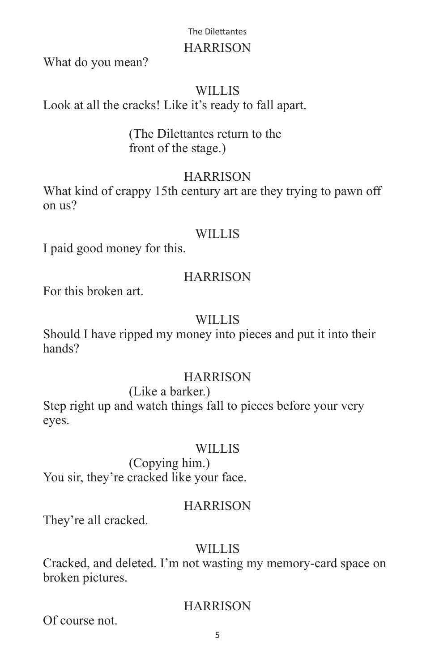### HARRISON

What do you mean?

### WILLIS

Look at all the cracks! Like it's ready to fall apart.

### (The Dilettantes return to the front of the stage.)

# **HARRISON**

What kind of crappy 15th century art are they trying to pawn off on us?

### WILLIS

I paid good money for this.

# **HARRISON**

For this broken art.

### **WILLIS**

Should I have ripped my money into pieces and put it into their hands?

### HARRISON

 (Like a barker.) Step right up and watch things fall to pieces before your very eyes.

### **WILLIS**

 (Copying him.) You sir, they're cracked like your face.

# **HARRISON**

They're all cracked.

# WILLIS<sub></sub>

Cracked, and deleted. I'm not wasting my memory-card space on broken pictures.

### **HARRISON**

Of course not.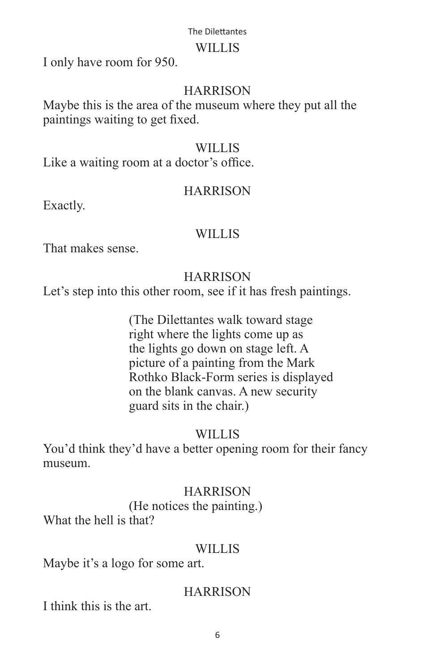### WILLIS

I only have room for 950.

### **HARRISON**

Maybe this is the area of the museum where they put all the paintings waiting to get fixed.

### WILLIS

Like a waiting room at a doctor's office.

### **HARRISON**

Exactly.

### **WILLIS**

That makes sense.

### **HARRISON**

Let's step into this other room, see if it has fresh paintings.

 (The Dilettantes walk toward stage right where the lights come up as the lights go down on stage left. A picture of a painting from the Mark Rothko Black-Form series is displayed on the blank canvas. A new security guard sits in the chair.)

### WILLIS

You'd think they'd have a better opening room for their fancy museum.

### **HARRISON**

(He notices the painting.)

What the hell is that?

### WILLIS<sub></sub>

Maybe it's a logo for some art.

### **HARRISON**

I think this is the art.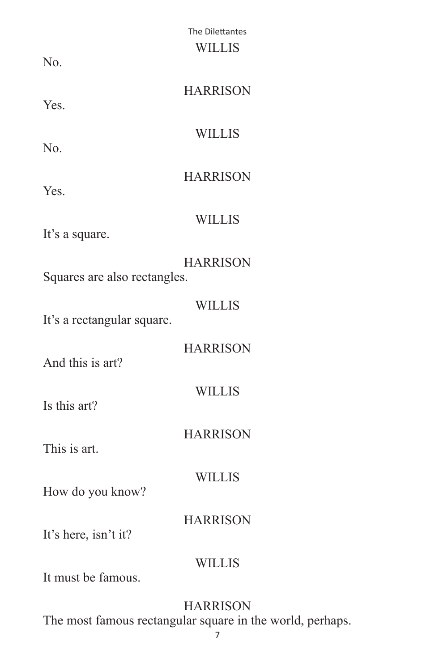|                              | The Dilettantes |
|------------------------------|-----------------|
|                              | <b>WILLIS</b>   |
| N <sub>0</sub>               |                 |
|                              |                 |
|                              | <b>HARRISON</b> |
| Yes.                         |                 |
|                              |                 |
|                              | <b>WILLIS</b>   |
| N <sub>0</sub>               |                 |
|                              | <b>HARRISON</b> |
| Yes.                         |                 |
|                              |                 |
|                              | <b>WILLIS</b>   |
| It's a square.               |                 |
|                              |                 |
|                              | <b>HARRISON</b> |
| Squares are also rectangles. |                 |
|                              |                 |
|                              | <b>WILLIS</b>   |
| It's a rectangular square.   |                 |
|                              | <b>HARRISON</b> |
| And this is art?             |                 |
|                              |                 |
|                              | <b>WILLIS</b>   |
| Is this art?                 |                 |
|                              |                 |
|                              | <b>HARRISON</b> |
| This is art.                 |                 |
|                              |                 |
|                              | <b>WILLIS</b>   |
| How do you know?             |                 |
|                              | <b>HARRISON</b> |
| It's here, isn't it?         |                 |
|                              |                 |
|                              | <b>WILLIS</b>   |
| It must be famous.           |                 |
|                              |                 |
|                              |                 |

# HARRISON

The most famous rectangular square in the world, perhaps.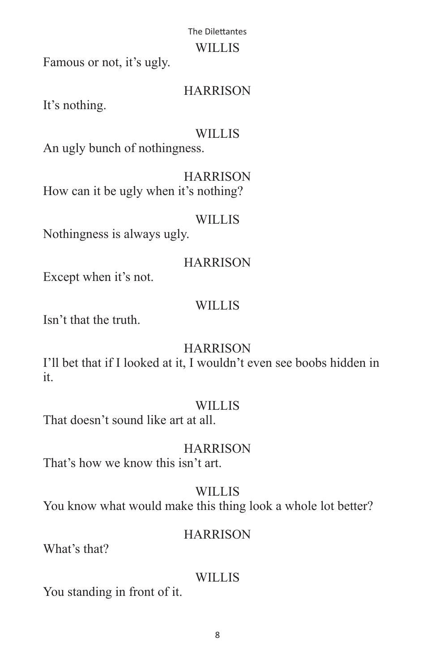### WILLIS

Famous or not, it's ugly.

# **HARRISON**

It's nothing.

# **WILLIS**

An ugly bunch of nothingness.

**HARRISON** How can it be ugly when it's nothing?

# WILLIS

Nothingness is always ugly.

# **HARRISON**

Except when it's not.

# WILLIS

Isn't that the truth.

# HARRISON

I'll bet that if I looked at it, I wouldn't even see boobs hidden in it.

# WILLIS

That doesn't sound like art at all.

# **HARRISON**

That's how we know this isn't art.

WILLIS You know what would make this thing look a whole lot better?

# **HARRISON**

What's that?

# WILLIS

You standing in front of it.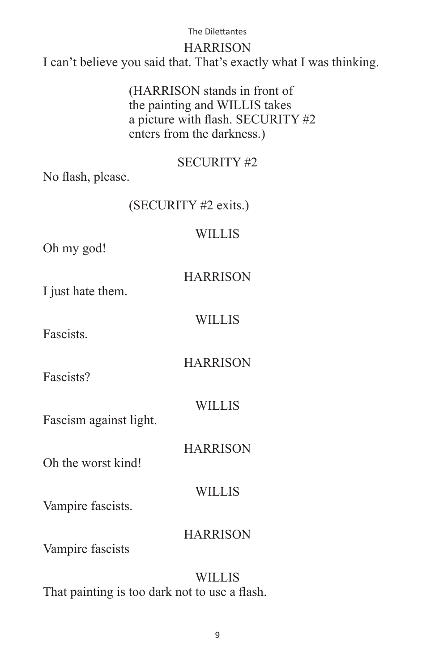### HARRISON

I can't believe you said that. That's exactly what I was thinking.

 (HARRISON stands in front of the painting and WILLIS takes a picture with flash. SECURITY #2 enters from the darkness.)

### SECURITY #2

No flash, please.

### (SECURITY #2 exits.)

### WILLIS

Oh my god!

**HARRISON** 

**WILLIS** 

**HARRISON** 

I just hate them.

Fascists.

Fascists?

WILLIS

**HARRISON** 

Fascism against light.

Oh the worst kind!

WILLIS

Vampire fascists.

### **HARRISON**

Vampire fascists

WILLIS That painting is too dark not to use a flash.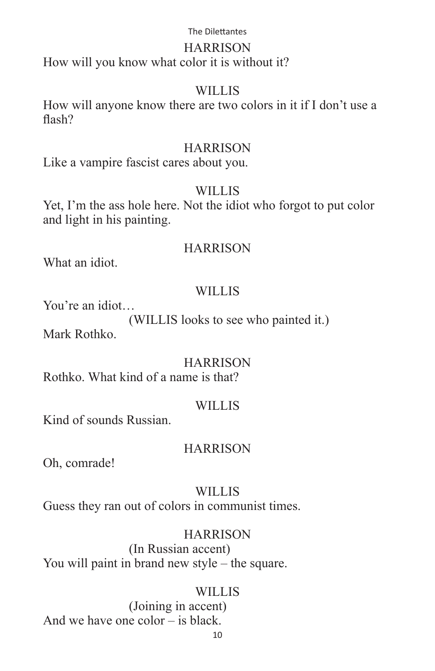### HARRISON

How will you know what color it is without it?

### WILLIS

How will anyone know there are two colors in it if I don't use a flash?

### **HARRISON**

Like a vampire fascist cares about you.

# WILLIS

Yet, I'm the ass hole here. Not the idiot who forgot to put color and light in his painting.

### **HARRISON**

What an idiot.

# WILLIS

You're an idiot…

(WILLIS looks to see who painted it.)

Mark Rothko.

# **HARRISON**

Rothko. What kind of a name is that?

# WILLIS<sub></sub>

Kind of sounds Russian.

### **HARRISON**

Oh, comrade!

# WILLIS

Guess they ran out of colors in communist times.

# **HARRISON**

 (In Russian accent) You will paint in brand new style – the square.

# WILLIS

 (Joining in accent) And we have one color – is black.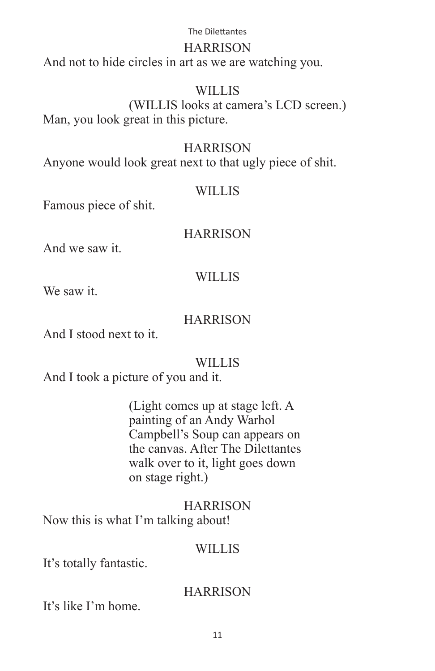### HARRISON

And not to hide circles in art as we are watching you.

### **WILLIS**

 (WILLIS looks at camera's LCD screen.) Man, you look great in this picture.

### **HARRISON**

Anyone would look great next to that ugly piece of shit.

### WILLIS

Famous piece of shit.

### **HARRISON**

And we saw it.

### **WILLIS**

We saw it.

### **HARRISON**

And I stood next to it.

### WILLIS

And I took a picture of you and it.

 (Light comes up at stage left. A painting of an Andy Warhol Campbell's Soup can appears on the canvas. After The Dilettantes walk over to it, light goes down on stage right.)

# **HARRISON** Now this is what I'm talking about!

### WILLIS<sub></sub>

It's totally fantastic.

### **HARRISON**

It's like I'm home.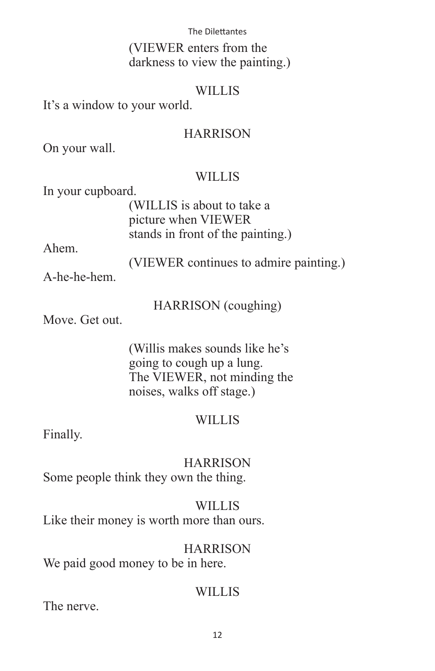(VIEWER enters from the darkness to view the painting.)

### WILLIS

It's a window to your world.

### **HARRISON**

On your wall.

### **WILLIS**

In your cupboard.

 (WILLIS is about to take a picture when VIEWER stands in front of the painting.)

Ahem.

(VIEWER continues to admire painting.)

A-he-he-hem.

HARRISON (coughing)

Move. Get out.

 (Willis makes sounds like he's going to cough up a lung. The VIEWER, not minding the noises, walks off stage.)

### WILLIS

Finally.

**HARRISON** Some people think they own the thing.

WILLIS Like their money is worth more than ours.

### **HARRISON**

We paid good money to be in here.

### WILLIS

The nerve.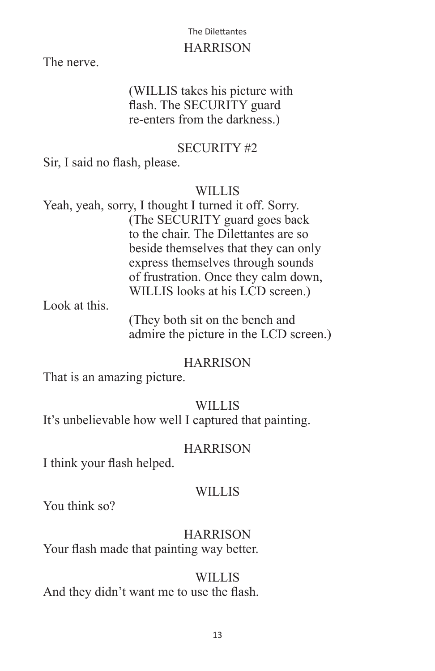### HARRISON

The nerve.

# (WILLIS takes his picture with flash. The SECURITY guard re-enters from the darkness.)

### SECURITY #2

Sir, I said no flash, please.

### WILLIS

Yeah, yeah, sorry, I thought I turned it off. Sorry. (The SECURITY guard goes back to the chair. The Dilettantes are so beside themselves that they can only express themselves through sounds of frustration. Once they calm down, WILLIS looks at his LCD screen.)

Look at this.

 (They both sit on the bench and admire the picture in the LCD screen.)

### **HARRISON**

That is an amazing picture.

# WILLIS<sub></sub>

It's unbelievable how well I captured that painting.

### **HARRISON**

I think your flash helped.

### WILLIS<sub></sub>

You think so?

### **HARRISON**

Your flash made that painting way better.

# WILLIS

And they didn't want me to use the flash.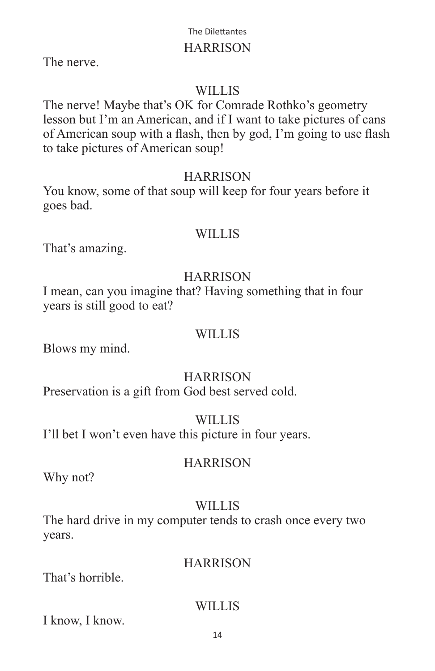### **HARRISON**

The nerve.

# WILLIS

The nerve! Maybe that's OK for Comrade Rothko's geometry lesson but I'm an American, and if I want to take pictures of cans of American soup with a flash, then by god, I'm going to use flash to take pictures of American soup!

### **HARRISON**

You know, some of that soup will keep for four years before it goes bad.

### WILLIS

That's amazing.

### **HARRISON**

I mean, can you imagine that? Having something that in four years is still good to eat?

### WILLIS<sub></sub>

Blows my mind.

### **HARRISON**

Preservation is a gift from God best served cold.

### WILLIS

I'll bet I won't even have this picture in four years.

### **HARRISON**

Why not?

# **WILLIS**

The hard drive in my computer tends to crash once every two years.

### **HARRISON**

That's horrible.

### WILLIS

I know, I know.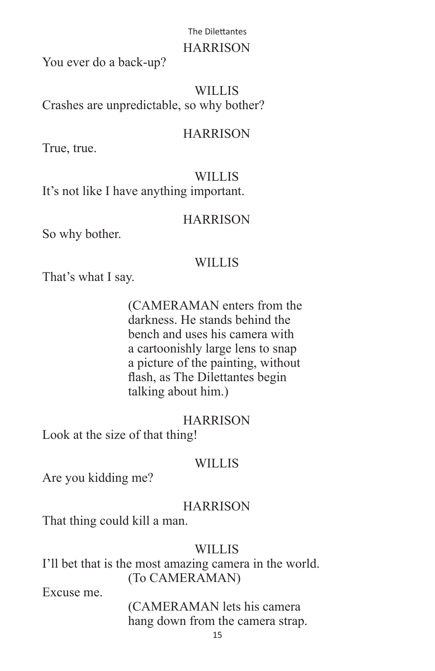### **HARRISON**

You ever do a back-up?

WILLIS<sub></sub> Crashes are unpredictable, so why bother?

### **HARRISON**

True, true.

# WILLIS

It's not like I have anything important.

### **HARRISON**

So why bother.

### WILLIS

That's what I say.

 (CAMERAMAN enters from the darkness. He stands behind the bench and uses his camera with a cartoonishly large lens to snap a picture of the painting, without flash, as The Dilettantes begin talking about him.)

### **HARRISON**

Look at the size of that thing!

# WILLIS

Are you kidding me?

# **HARRISON**

That thing could kill a man.

# WILLIS

I'll bet that is the most amazing camera in the world. (To CAMERAMAN)

Excuse me.

 (CAMERAMAN lets his camera hang down from the camera strap.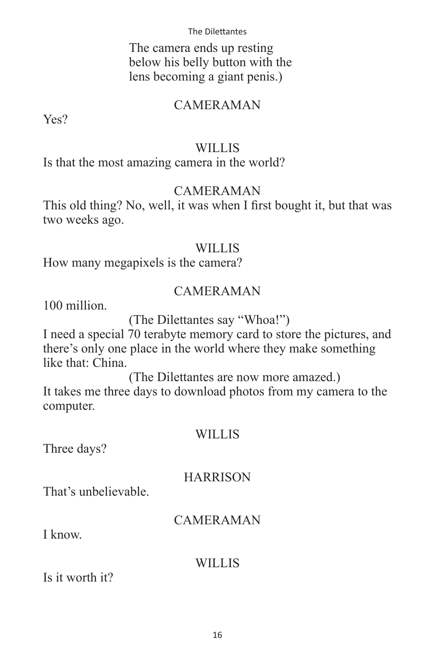The camera ends up resting below his belly button with the lens becoming a giant penis.)

### CAMERAMAN

Yes?

### WILLIS

Is that the most amazing camera in the world?

### CAMERAMAN

This old thing? No, well, it was when I first bought it, but that was two weeks ago.

### WILLIS

How many megapixels is the camera?

### CAMERAMAN

100 million.

(The Dilettantes say "Whoa!")

I need a special 70 terabyte memory card to store the pictures, and there's only one place in the world where they make something like that: China.

 (The Dilettantes are now more amazed.) It takes me three days to download photos from my camera to the computer.

### WILLIS

Three days?

### **HARRISON**

That's unbelievable.

# CAMERAMAN

I know.

### WILLIS

Is it worth it?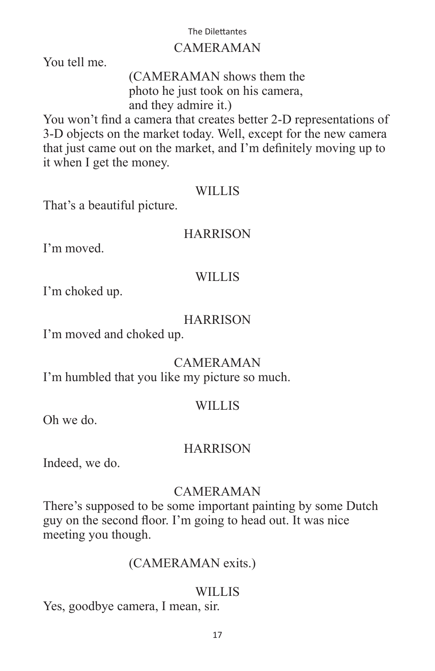### CAMERAMAN

You tell me.

 (CAMERAMAN shows them the photo he just took on his camera, and they admire it.)

You won't find a camera that creates better 2-D representations of 3-D objects on the market today. Well, except for the new camera that just came out on the market, and I'm definitely moving up to it when I get the money.

### WILLIS

That's a beautiful picture.

### **HARRISON**

I'm moved.

### WILLIS

I'm choked up.

### **HARRISON**

I'm moved and choked up.

# CAMERAMAN

I'm humbled that you like my picture so much.

### WILLIS<sub></sub>

Oh we do.

### **HARRISON**

Indeed, we do.

### CAMERAMAN

There's supposed to be some important painting by some Dutch guy on the second floor. I'm going to head out. It was nice meeting you though.

### (CAMERAMAN exits.)

### WILLIS

Yes, goodbye camera, I mean, sir.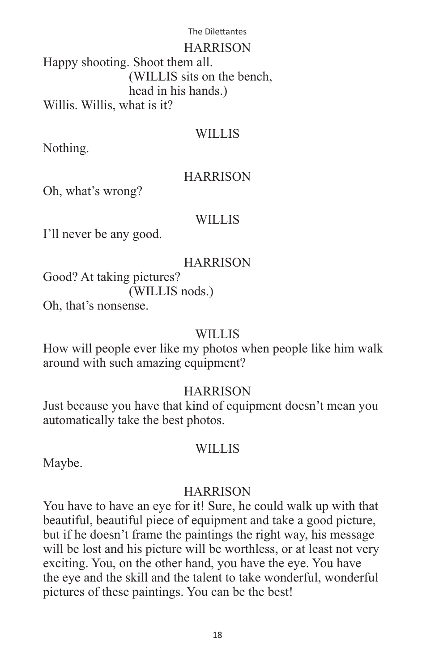HARRISON

Happy shooting. Shoot them all. (WILLIS sits on the bench, head in his hands.) Willis. Willis, what is it?

### **WILLIS**

Nothing.

### **HARRISON**

Oh, what's wrong?

### WILLIS

I'll never be any good.

### **HARRISON**

Good? At taking pictures? (WILLIS nods.)

Oh, that's nonsense.

### WILLIS<sub></sub>

How will people ever like my photos when people like him walk around with such amazing equipment?

### **HARRISON**

Just because you have that kind of equipment doesn't mean you automatically take the best photos.

### WILLIS

Maybe.

### **HARRISON**

You have to have an eye for it! Sure, he could walk up with that beautiful, beautiful piece of equipment and take a good picture, but if he doesn't frame the paintings the right way, his message will be lost and his picture will be worthless, or at least not very exciting. You, on the other hand, you have the eye. You have the eye and the skill and the talent to take wonderful, wonderful pictures of these paintings. You can be the best!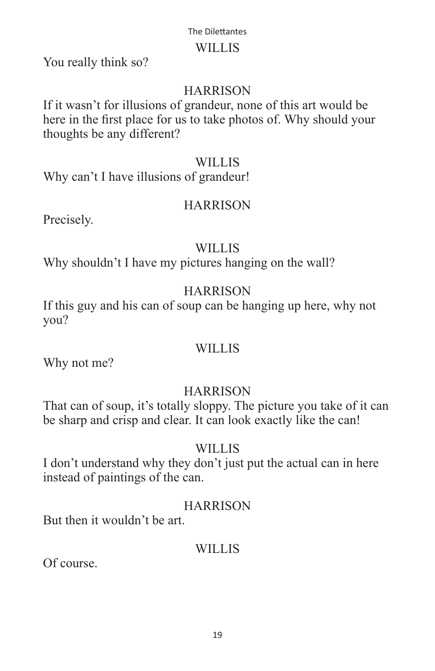### WILLIS

You really think so?

# **HARRISON**

If it wasn't for illusions of grandeur, none of this art would be here in the first place for us to take photos of. Why should your thoughts be any different?

### **WILLIS**

Why can't I have illusions of grandeur!

# **HARRISON**

Precisely.

# **WILLIS**

Why shouldn't I have my pictures hanging on the wall?

# **HARRISON**

If this guy and his can of soup can be hanging up here, why not you?

# WILLIS

Why not me?

# **HARRISON**

That can of soup, it's totally sloppy. The picture you take of it can be sharp and crisp and clear. It can look exactly like the can!

# WILLIS

I don't understand why they don't just put the actual can in here instead of paintings of the can.

# **HARRISON**

But then it wouldn't be art.

# WILLIS<sub></sub>

Of course.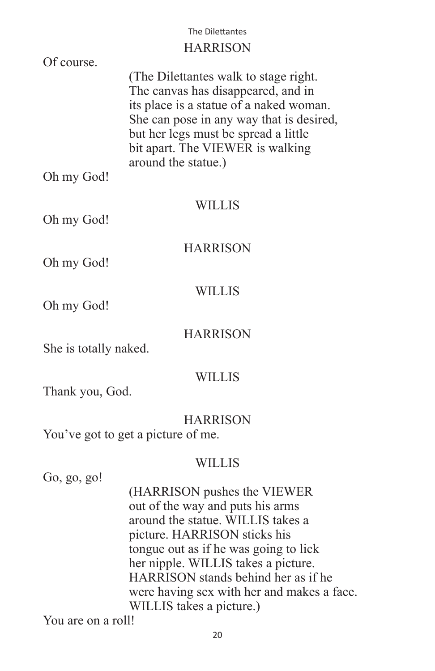# **HARRISON**

| Of course.            |                                                                                                                                                                                                                                                                                                                                       |
|-----------------------|---------------------------------------------------------------------------------------------------------------------------------------------------------------------------------------------------------------------------------------------------------------------------------------------------------------------------------------|
|                       | (The Dilettantes walk to stage right.)<br>The canvas has disappeared, and in<br>its place is a statue of a naked woman.<br>She can pose in any way that is desired,<br>but her legs must be spread a little<br>bit apart. The VIEWER is walking<br>around the statue.)                                                                |
| Oh my God!            |                                                                                                                                                                                                                                                                                                                                       |
| Oh my God!            | <b>WILLIS</b>                                                                                                                                                                                                                                                                                                                         |
|                       | <b>HARRISON</b>                                                                                                                                                                                                                                                                                                                       |
| Oh my God!            |                                                                                                                                                                                                                                                                                                                                       |
|                       | <b>WILLIS</b>                                                                                                                                                                                                                                                                                                                         |
| Oh my God!            |                                                                                                                                                                                                                                                                                                                                       |
|                       | <b>HARRISON</b>                                                                                                                                                                                                                                                                                                                       |
| She is totally naked. |                                                                                                                                                                                                                                                                                                                                       |
|                       | <b>WILLIS</b>                                                                                                                                                                                                                                                                                                                         |
| Thank you, God.       |                                                                                                                                                                                                                                                                                                                                       |
|                       | <b>HARRISON</b>                                                                                                                                                                                                                                                                                                                       |
|                       | You've got to get a picture of me.                                                                                                                                                                                                                                                                                                    |
|                       |                                                                                                                                                                                                                                                                                                                                       |
| Go, go, go!           | <b>WILLIS</b>                                                                                                                                                                                                                                                                                                                         |
|                       | (HARRISON pushes the VIEWER<br>out of the way and puts his arms<br>around the statue. WILLIS takes a<br>picture. HARRISON sticks his<br>tongue out as if he was going to lick<br>her nipple. WILLIS takes a picture.<br>HARRISON stands behind her as if he<br>were having sex with her and makes a face.<br>WILLIS takes a picture.) |
| You are on a roll!    |                                                                                                                                                                                                                                                                                                                                       |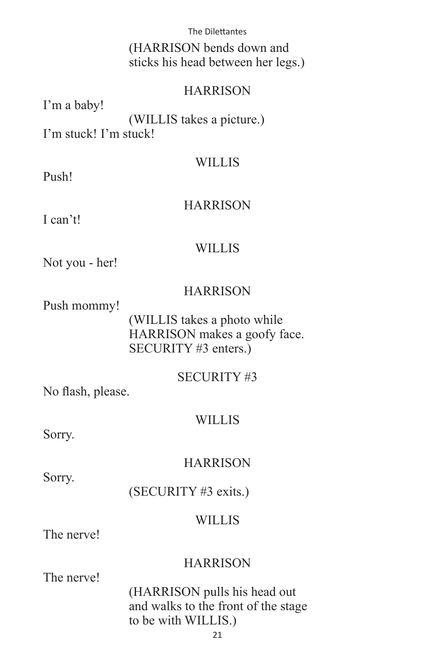(HARRISON bends down and sticks his head between her legs.)

### **HARRISON**

I'm a baby! (WILLIS takes a picture.) I'm stuck! I'm stuck!

### **WILLIS**

Push!

### **HARRISON**

I can't!

### **WILLIS**

Not you - her!

### **HARRISON**

Push mommy!

 (WILLIS takes a photo while HARRISON makes a goofy face. SECURITY #3 enters.)

### SECURITY #3

No flash, please.

### **WILLIS**

Sorry.

### **HARRISON**

Sorry.

(SECURITY #3 exits.)

### WILLIS

The nerve!

### **HARRISON**

The nerve!

 (HARRISON pulls his head out and walks to the front of the stage to be with WILLIS.)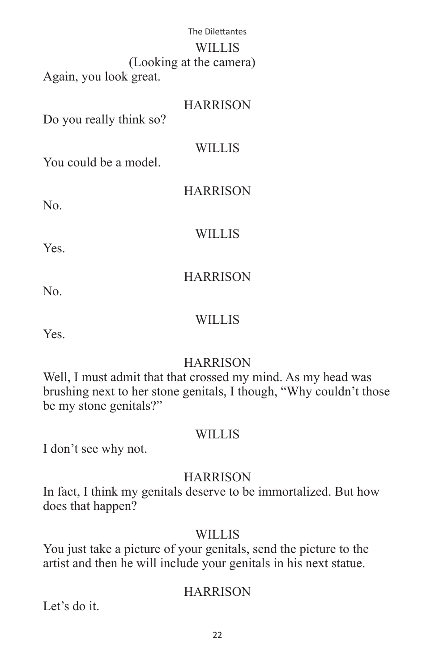| The Dilettantes         |  |
|-------------------------|--|
| <b>WILLIS</b>           |  |
| (Looking at the camera) |  |
| Again, you look great.  |  |

# **HARRISON** Do you really think so? WILLIS

You could be a model.

HARRISON

No.

**WILLIS** 

**HARRISON** 

Yes.

No.

### **WILLIS**

Yes.

# **HARRISON**

Well, I must admit that that crossed my mind. As my head was brushing next to her stone genitals, I though, "Why couldn't those be my stone genitals?"

### WILLIS

I don't see why not.

# **HARRISON**

In fact, I think my genitals deserve to be immortalized. But how does that happen?

# WILLIS

You just take a picture of your genitals, send the picture to the artist and then he will include your genitals in his next statue.

# **HARRISON**

Let's do it.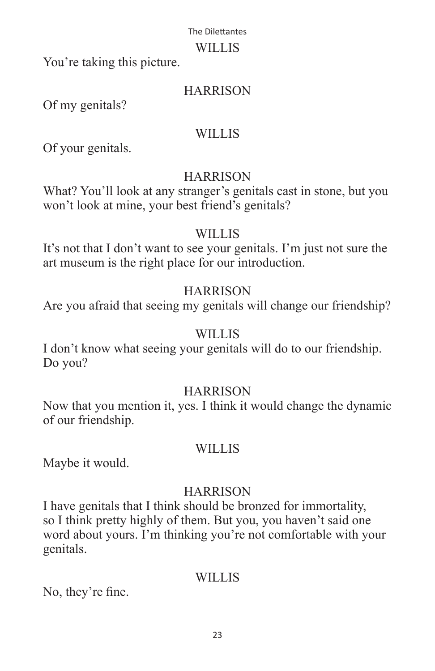### WILLIS

You're taking this picture.

### **HARRISON**

Of my genitals?

### **WILLIS**

Of your genitals.

# **HARRISON**

What? You'll look at any stranger's genitals cast in stone, but you won't look at mine, your best friend's genitals?

# WILLIS

It's not that I don't want to see your genitals. I'm just not sure the art museum is the right place for our introduction.

# **HARRISON**

Are you afraid that seeing my genitals will change our friendship?

# WILLIS

I don't know what seeing your genitals will do to our friendship. Do you?

### **HARRISON**

Now that you mention it, yes. I think it would change the dynamic of our friendship.

### WILLIS

Maybe it would.

# **HARRISON**

I have genitals that I think should be bronzed for immortality, so I think pretty highly of them. But you, you haven't said one word about yours. I'm thinking you're not comfortable with your genitals.

# WILLIS

No, they're fine.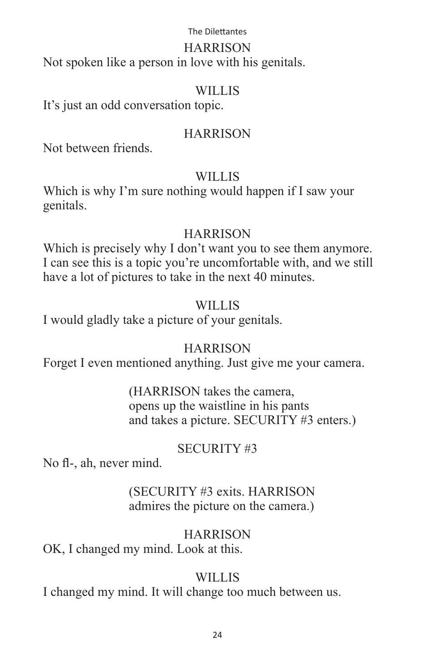### HARRISON

Not spoken like a person in love with his genitals.

### WILLIS

It's just an odd conversation topic.

# **HARRISON**

Not between friends.

# **WILLIS**

Which is why I'm sure nothing would happen if I saw your genitals.

# **HARRISON**

Which is precisely why I don't want you to see them anymore. I can see this is a topic you're uncomfortable with, and we still have a lot of pictures to take in the next 40 minutes.

# WILLIS

I would gladly take a picture of your genitals.

# **HARRISON**

Forget I even mentioned anything. Just give me your camera.

 (HARRISON takes the camera, opens up the waistline in his pants and takes a picture. SECURITY #3 enters.)

# SECURITY #3

No fl-, ah, never mind.

# (SECURITY #3 exits. HARRISON admires the picture on the camera.)

# **HARRISON**

OK, I changed my mind. Look at this.

# WILLIS

I changed my mind. It will change too much between us.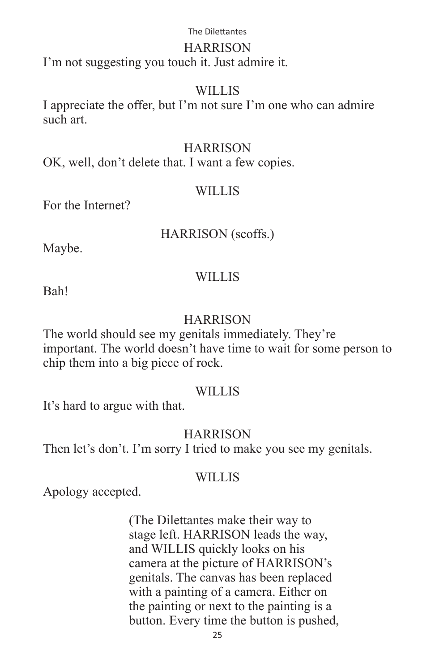### HARRISON

I'm not suggesting you touch it. Just admire it.

### WILLIS

I appreciate the offer, but I'm not sure I'm one who can admire such art.

### **HARRISON**

OK, well, don't delete that. I want a few copies.

### WILLIS

For the Internet?

### HARRISON (scoffs.)

Maybe.

### WILLIS

Bah!

### **HARRISON**

The world should see my genitals immediately. They're important. The world doesn't have time to wait for some person to chip them into a big piece of rock.

### WILLIS

It's hard to argue with that.

### **HARRISON**

Then let's don't. I'm sorry I tried to make you see my genitals.

### WILLIS<sub></sub>

Apology accepted.

 (The Dilettantes make their way to stage left. HARRISON leads the way, and WILLIS quickly looks on his camera at the picture of HARRISON's genitals. The canvas has been replaced with a painting of a camera. Either on the painting or next to the painting is a button. Every time the button is pushed,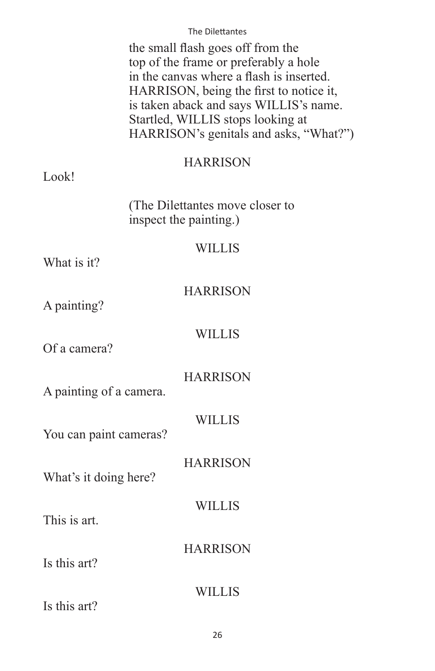the small flash goes off from the top of the frame or preferably a hole in the canvas where a flash is inserted. HARRISON, being the first to notice it, is taken aback and says WILLIS's name. Startled, WILLIS stops looking at HARRISON's genitals and asks, "What?")

### **HARRISON**

### Look!

 (The Dilettantes move closer to inspect the painting.)

### **WILLIS**

What is it?

| <b>HARRISON</b> |
|-----------------|
|-----------------|

A painting?

### WILLIS

Of a camera?

**HARRISON** 

A painting of a camera.

**WILLIS** 

**HARRISON** 

WILLIS

**HARRISON** 

You can paint cameras?

What's it doing here?

This is art.

Is this art?

Is this art?

WILLIS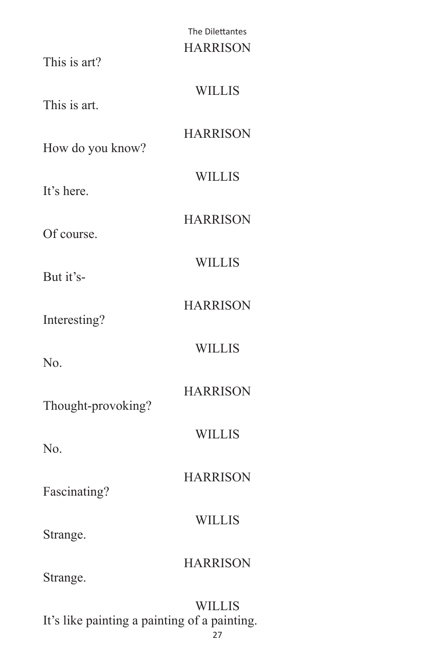# The Dilettantes **HARRISON** This is art? WILLIS This is art. **HARRISON** How do you know? WILLIS It's here. **HARRISON** Of course. **WILLIS** But it's-**HARRISON** Interesting? WILLIS No. **HARRISON** Thought-provoking? WILLIS No. **HARRISON** Fascinating? **WILLIS** Strange. **HARRISON** Strange. **WILLIS**

It's like painting a painting of a painting.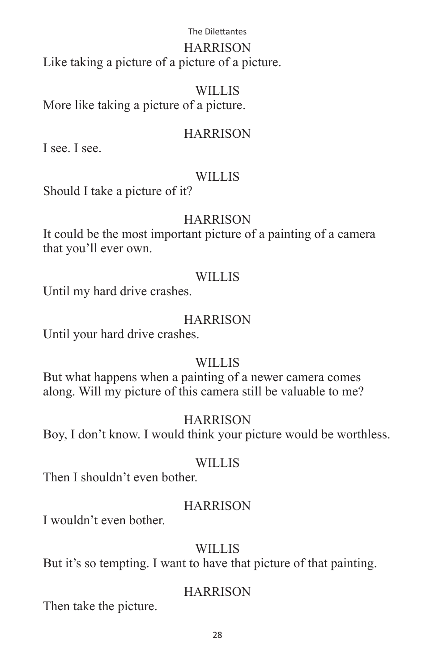### **HARRISON**

Like taking a picture of a picture of a picture.

# **WILLIS**

More like taking a picture of a picture.

# **HARRISON**

I see. I see.

# WILLIS

Should I take a picture of it?

# **HARRISON**

It could be the most important picture of a painting of a camera that you'll ever own.

# WILLIS

Until my hard drive crashes.

# **HARRISON**

Until your hard drive crashes.

# WILLIS

But what happens when a painting of a newer camera comes along. Will my picture of this camera still be valuable to me?

# **HARRISON**

Boy, I don't know. I would think your picture would be worthless.

# WILLIS

Then I shouldn't even bother.

# **HARRISON**

I wouldn't even bother.

# WILLIS<sub></sub>

But it's so tempting. I want to have that picture of that painting.

# **HARRISON**

Then take the picture.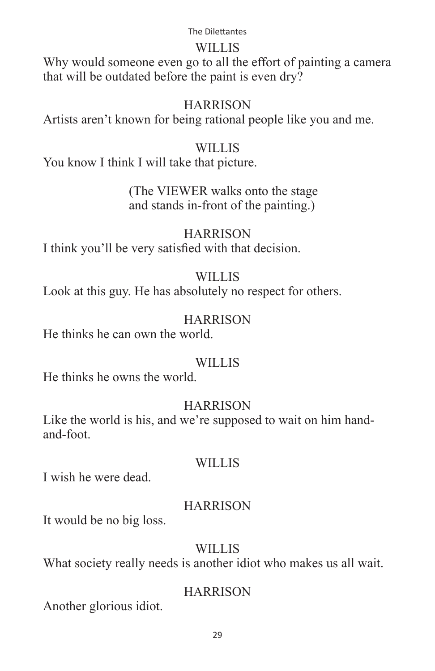### WILLIS

Why would someone even go to all the effort of painting a camera that will be outdated before the paint is even dry?

### **HARRISON**

Artists aren't known for being rational people like you and me.

### **WILLIS**

You know I think I will take that picture.

### (The VIEWER walks onto the stage and stands in-front of the painting.)

**HARRISON** I think you'll be very satisfied with that decision.

### WILLIS

Look at this guy. He has absolutely no respect for others.

### **HARRISON**

He thinks he can own the world.

### WILLIS

He thinks he owns the world.

# **HARRISON**

Like the world is his, and we're supposed to wait on him handand-foot.

### WILLIS

I wish he were dead.

### **HARRISON**

It would be no big loss.

### WILLIS<sub></sub>

What society really needs is another idiot who makes us all wait.

### **HARRISON**

Another glorious idiot.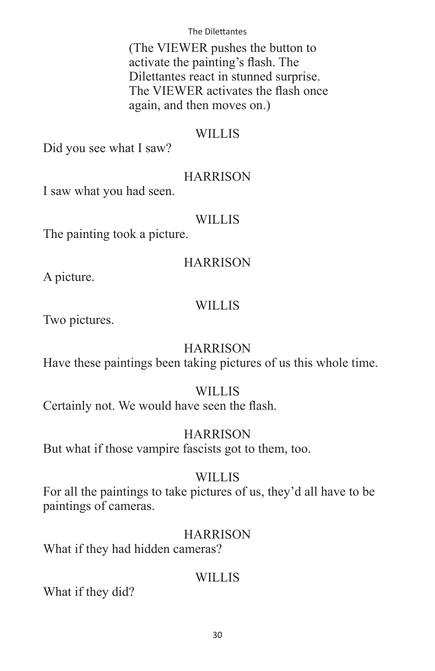(The VIEWER pushes the button to activate the painting's flash. The Dilettantes react in stunned surprise. The VIEWER activates the flash once again, and then moves on.)

### **WILLIS**

Did you see what I saw?

# **HARRISON**

I saw what you had seen.

# **WILLIS**

The painting took a picture.

# **HARRISON**

A picture.

# WILLIS

Two pictures.

# **HARRISON**

Have these paintings been taking pictures of us this whole time.

### **WILLIS**

Certainly not. We would have seen the flash.

# **HARRISON**

But what if those vampire fascists got to them, too.

### WILLIS<sub></sub>

For all the paintings to take pictures of us, they'd all have to be paintings of cameras.

### **HARRISON**

What if they had hidden cameras?

# WILLIS

What if they did?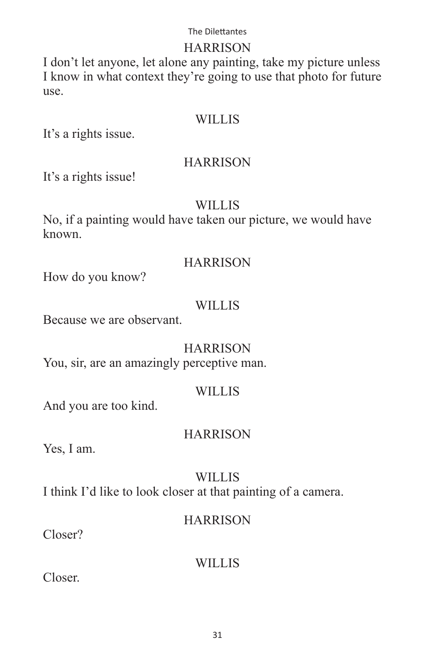### HARRISON

I don't let anyone, let alone any painting, take my picture unless I know in what context they're going to use that photo for future use.

### WILLIS

It's a rights issue.

### HARRISON

It's a rights issue!

### **WILLIS**

No, if a painting would have taken our picture, we would have known.

### **HARRISON**

How do you know?

# **WILLIS**

Because we are observant.

# **HARRISON**

You, sir, are an amazingly perceptive man.

### **WILLIS**

And you are too kind.

### **HARRISON**

Yes, I am.

# WILLIS<sub></sub>

I think I'd like to look closer at that painting of a camera.

### **HARRISON**

Closer?

# **WILLIS**

Closer.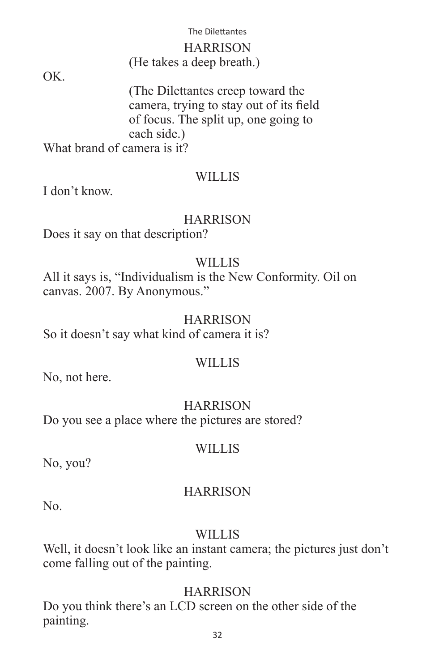### HARRISON (He takes a deep breath.)

OK.

 (The Dilettantes creep toward the camera, trying to stay out of its field of focus. The split up, one going to each side.)

What brand of camera is it?

### **WILLIS**

I don't know.

# **HARRISON**

Does it say on that description?

### WILLIS<sub></sub>

All it says is, "Individualism is the New Conformity. Oil on canvas. 2007. By Anonymous."

### **HARRISON**

So it doesn't say what kind of camera it is?

### WILLIS

No, not here.

# **HARRISON**

Do you see a place where the pictures are stored?

### WILLIS

No, you?

# **HARRISON**

No.

# **WILLIS**

Well, it doesn't look like an instant camera; the pictures just don't come falling out of the painting.

# **HARRISON**

Do you think there's an LCD screen on the other side of the painting.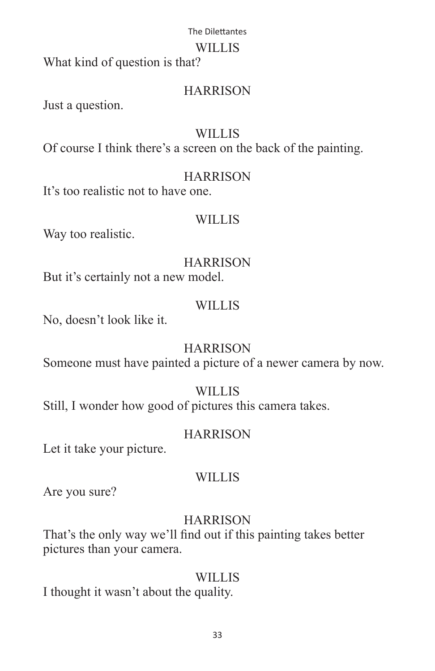### WILLIS

What kind of question is that?

# **HARRISON**

Just a question.

# **WILLIS**

Of course I think there's a screen on the back of the painting.

# **HARRISON**

It's too realistic not to have one.

# WILLIS

Way too realistic.

# HARRISON

But it's certainly not a new model.

# **WILLIS**

No, doesn't look like it.

# **HARRISON**

Someone must have painted a picture of a newer camera by now.

# **WILLIS**

Still, I wonder how good of pictures this camera takes.

# **HARRISON**

Let it take your picture.

# WILLIS

Are you sure?

# **HARRISON**

That's the only way we'll find out if this painting takes better pictures than your camera.

# WILLIS

I thought it wasn't about the quality.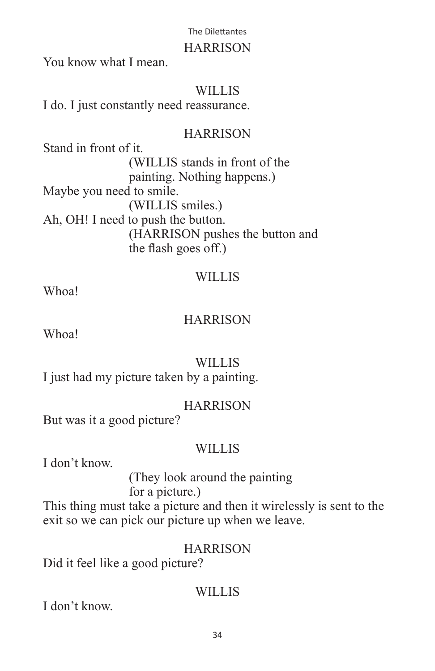### **HARRISON**

You know what I mean.

### **WILLIS**

I do. I just constantly need reassurance.

# **HARRISON**

Stand in front of it. (WILLIS stands in front of the painting. Nothing happens.) Maybe you need to smile. (WILLIS smiles.) Ah, OH! I need to push the button. (HARRISON pushes the button and the flash goes off.)

# WILLIS

Whoa!

### **HARRISON**

Whoa!

# WILLIS

I just had my picture taken by a painting.

### **HARRISON**

But was it a good picture?

### WILLIS

I don't know.

### (They look around the painting for a picture.)

This thing must take a picture and then it wirelessly is sent to the exit so we can pick our picture up when we leave.

### **HARRISON**

Did it feel like a good picture?

# WILLIS

I don't know.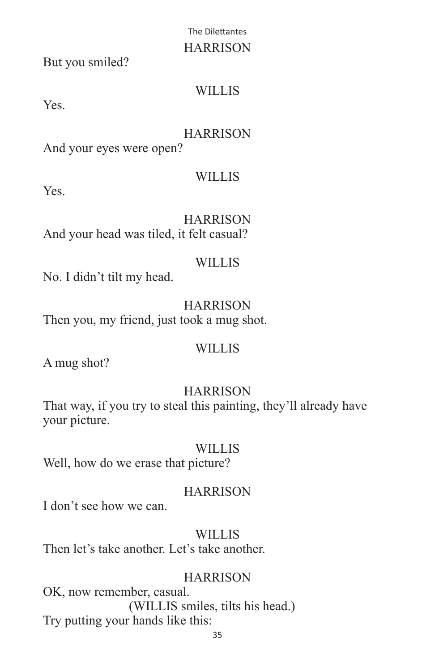### HARRISON

But you smiled?

# WILLIS

Yes.

# HARRISON

And your eyes were open?

# **WILLIS**

Yes.

**HARRISON** And your head was tiled, it felt casual?

# WILLIS<sub></sub>

No. I didn't tilt my head.

**HARRISON** Then you, my friend, just took a mug shot.

# WILLIS

A mug shot?

# HARRISON

That way, if you try to steal this painting, they'll already have your picture.

# **WILLIS**

Well, how do we erase that picture?

# **HARRISON**

I don't see how we can.

# **WILLIS**

Then let's take another. Let's take another.

# **HARRISON**

OK, now remember, casual. (WILLIS smiles, tilts his head.) Try putting your hands like this: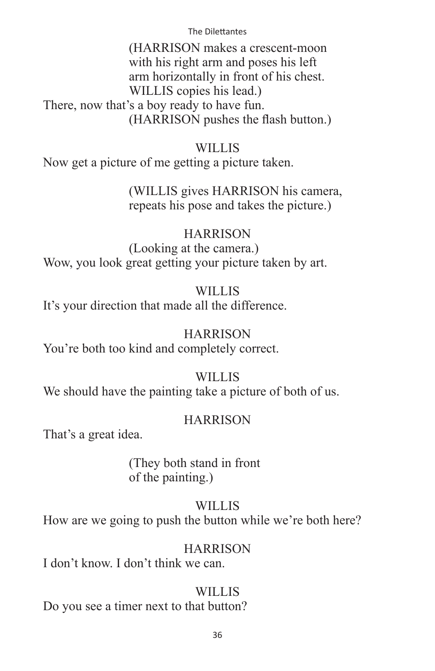(HARRISON makes a crescent-moon with his right arm and poses his left arm horizontally in front of his chest. WILLIS copies his lead.) There, now that's a boy ready to have fun. (HARRISON pushes the flash button.)

### **WILLIS**

Now get a picture of me getting a picture taken.

 (WILLIS gives HARRISON his camera, repeats his pose and takes the picture.)

### **HARRISON**

 (Looking at the camera.) Wow, you look great getting your picture taken by art.

### WILLIS

It's your direction that made all the difference.

### **HARRISON**

You're both too kind and completely correct.

### WILLIS

We should have the painting take a picture of both of us.

### **HARRISON**

That's a great idea.

 (They both stand in front of the painting.)

### WILLIS

How are we going to push the button while we're both here?

### **HARRISON**

I don't know. I don't think we can.

### WILLIS<sub></sub>

Do you see a timer next to that button?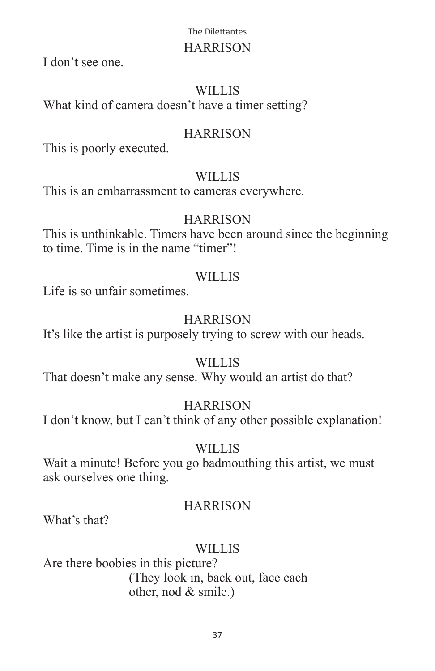### HARRISON

I don't see one.

### WILLIS

What kind of camera doesn't have a timer setting?

# **HARRISON**

This is poorly executed.

# **WILLIS**

This is an embarrassment to cameras everywhere.

# **HARRISON**

This is unthinkable. Timers have been around since the beginning to time. Time is in the name "timer"!

# WILLIS

Life is so unfair sometimes.

# HARRISON

It's like the artist is purposely trying to screw with our heads.

# WILLIS

That doesn't make any sense. Why would an artist do that?

# **HARRISON**

I don't know, but I can't think of any other possible explanation!

# WILLIS

Wait a minute! Before you go badmouthing this artist, we must ask ourselves one thing.

# **HARRISON**

What's that?

# WILLIS<sub></sub>

Are there boobies in this picture? (They look in, back out, face each other, nod & smile.)